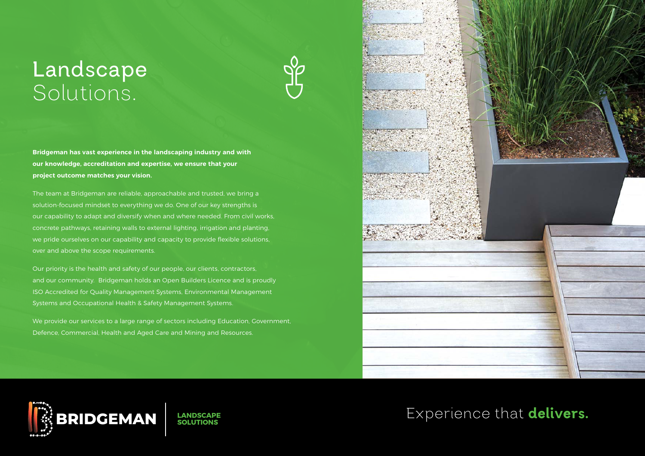## **Landscape** Solutions.



**Bridgeman has vast experience in the landscaping industry and with our knowledge, accreditation and expertise, we ensure that your project outcome matches your vision.** 

The team at Bridgeman are reliable, approachable and trusted, we bring a solution-focused mindset to everything we do. One of our key strengths is our capability to adapt and diversify when and where needed. From civil works, concrete pathways, retaining walls to external lighting, irrigation and planting, we pride ourselves on our capability and capacity to provide flexible solutions, over and above the scope requirements.

Our priority is the health and safety of our people, our clients, contractors, and our community. Bridgeman holds an Open Builders Licence and is proudly ISO Accredited for Quality Management Systems, Environmental Management Systems and Occupational Health & Safety Management Systems.

We provide our services to a large range of sectors including Education, Government, **BRIDGEMANN** Defence, Commercial, Health and Aged Care and Mining and Resources.





Experience that delivers**.**